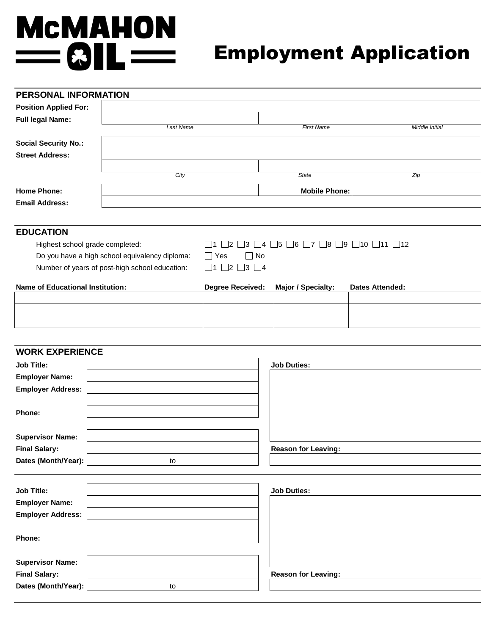# **MCMAHON**  $= 81L =$

# Employment Application

| <b>PERSONAL INFORMATION</b>                    |           |                                                                                                                                         |                      |                        |  |
|------------------------------------------------|-----------|-----------------------------------------------------------------------------------------------------------------------------------------|----------------------|------------------------|--|
| <b>Position Applied For:</b>                   |           |                                                                                                                                         |                      |                        |  |
| <b>Full legal Name:</b>                        |           |                                                                                                                                         |                      |                        |  |
|                                                | Last Name |                                                                                                                                         | <b>First Name</b>    | Middle Initial         |  |
| <b>Social Security No.:</b>                    |           |                                                                                                                                         |                      |                        |  |
| <b>Street Address:</b>                         |           |                                                                                                                                         |                      |                        |  |
|                                                |           |                                                                                                                                         |                      |                        |  |
|                                                | City      |                                                                                                                                         | <b>State</b>         | $\overline{Zip}$       |  |
| <b>Home Phone:</b>                             |           |                                                                                                                                         | <b>Mobile Phone:</b> |                        |  |
| <b>Email Address:</b>                          |           |                                                                                                                                         |                      |                        |  |
|                                                |           |                                                                                                                                         |                      |                        |  |
| <b>EDUCATION</b>                               |           |                                                                                                                                         |                      |                        |  |
| Highest school grade completed:                |           | $\square$ 3 $\square$ 4 $\square$ 5 $\square$ 6 $\square$ 7 $\square$ 8 $\square$ 9 $\square$ 10 $\square$ 11 $\square$ 12<br>$\vert$ 2 |                      |                        |  |
| Do you have a high school equivalency diploma: |           | $\Box$ No<br>  Yes                                                                                                                      |                      |                        |  |
| Number of years of post-high school education: |           | $\Box$ 2<br>$\Box$ 3 $\Box$ 4<br>$\vert$ 11                                                                                             |                      |                        |  |
| <b>Name of Educational Institution:</b>        |           | <b>Degree Received:</b>                                                                                                                 | Major / Specialty:   | <b>Dates Attended:</b> |  |
|                                                |           |                                                                                                                                         |                      |                        |  |

| <b>WORK EXPERIENCE</b>   |    |                            |
|--------------------------|----|----------------------------|
| <b>Job Title:</b>        |    | <b>Job Duties:</b>         |
| <b>Employer Name:</b>    |    |                            |
| <b>Employer Address:</b> |    |                            |
|                          |    |                            |
| Phone:                   |    |                            |
|                          |    |                            |
| <b>Supervisor Name:</b>  |    |                            |
| <b>Final Salary:</b>     |    | <b>Reason for Leaving:</b> |
| Dates (Month/Year):      | to |                            |
|                          |    |                            |
| <b>Job Title:</b>        |    | <b>Job Duties:</b>         |
| <b>Employer Name:</b>    |    |                            |
| <b>Employer Address:</b> |    |                            |
|                          |    |                            |
| Phone:                   |    |                            |
|                          |    |                            |
| <b>Supervisor Name:</b>  |    |                            |
| _______                  |    | .                          |

**Final Salary:**  $\begin{array}{|c|c|c|c|c|}\n\hline\n\text{1} & \text{1} & \text{1} & \text{1} \\
\hline\n\end{array}$  Reason for Leaving: Dates (Month/Year): to to to to the to to the to the to the to the to the to the to the to the to the to the to the to the to the to the to the to the to the to the to the to the to the to the to the to the to the to the t